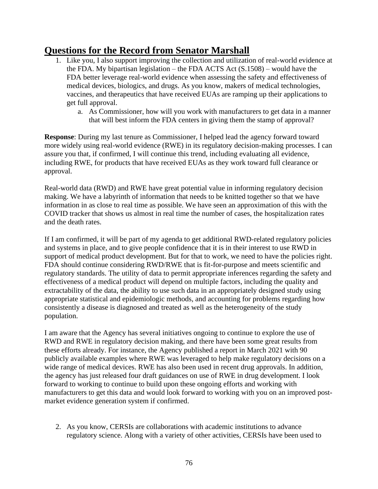## **Questions for the Record from Senator Marshall**

- 1. Like you, I also support improving the collection and utilization of real-world evidence at the FDA. My bipartisan legislation – the FDA ACTS Act  $(S.1508)$  – would have the FDA better leverage real-world evidence when assessing the safety and effectiveness of medical devices, biologics, and drugs. As you know, makers of medical technologies, vaccines, and therapeutics that have received EUAs are ramping up their applications to get full approval.
	- a. As Commissioner, how will you work with manufacturers to get data in a manner that will best inform the FDA centers in giving them the stamp of approval?

**Response**: During my last tenure as Commissioner, I helped lead the agency forward toward more widely using real-world evidence (RWE) in its regulatory decision-making processes. I can assure you that, if confirmed, I will continue this trend, including evaluating all evidence, including RWE, for products that have received EUAs as they work toward full clearance or approval.

Real-world data (RWD) and RWE have great potential value in informing regulatory decision making. We have a labyrinth of information that needs to be knitted together so that we have information in as close to real time as possible. We have seen an approximation of this with the COVID tracker that shows us almost in real time the number of cases, the hospitalization rates and the death rates.

If I am confirmed, it will be part of my agenda to get additional RWD-related regulatory policies and systems in place, and to give people confidence that it is in their interest to use RWD in support of medical product development. But for that to work, we need to have the policies right. FDA should continue considering RWD/RWE that is fit-for-purpose and meets scientific and regulatory standards. The utility of data to permit appropriate inferences regarding the safety and effectiveness of a medical product will depend on multiple factors, including the quality and extractability of the data, the ability to use such data in an appropriately designed study using appropriate statistical and epidemiologic methods, and accounting for problems regarding how consistently a disease is diagnosed and treated as well as the heterogeneity of the study population.

I am aware that the Agency has several initiatives ongoing to continue to explore the use of RWD and RWE in regulatory decision making, and there have been some great results from these efforts already. For instance, the Agency published a report in March 2021 with 90 publicly available examples where RWE was leveraged to help make regulatory decisions on a wide range of medical devices. RWE has also been used in recent drug approvals. In addition, the agency has just released four draft guidances on use of RWE in drug development. I look forward to working to continue to build upon these ongoing efforts and working with manufacturers to get this data and would look forward to working with you on an improved postmarket evidence generation system if confirmed.

2. As you know, CERSIs are collaborations with academic institutions to advance regulatory science. Along with a variety of other activities, CERSIs have been used to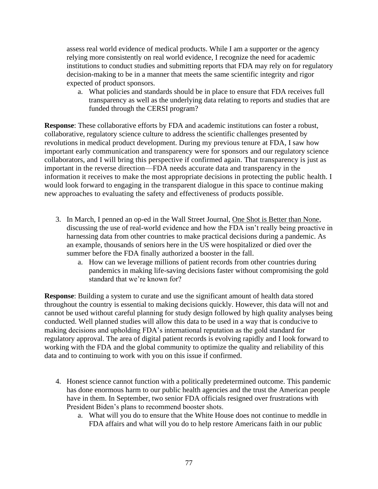assess real world evidence of medical products. While I am a supporter or the agency relying more consistently on real world evidence, I recognize the need for academic institutions to conduct studies and submitting reports that FDA may rely on for regulatory decision-making to be in a manner that meets the same scientific integrity and rigor expected of product sponsors.

a. What policies and standards should be in place to ensure that FDA receives full transparency as well as the underlying data relating to reports and studies that are funded through the CERSI program?

**Response**: These collaborative efforts by FDA and academic institutions can foster a robust, collaborative, regulatory science culture to address the scientific challenges presented by revolutions in medical product development. During my previous tenure at FDA, I saw how important early communication and transparency were for sponsors and our regulatory science collaborators, and I will bring this perspective if confirmed again. That transparency is just as important in the reverse direction—FDA needs accurate data and transparency in the information it receives to make the most appropriate decisions in protecting the public health. I would look forward to engaging in the transparent dialogue in this space to continue making new approaches to evaluating the safety and effectiveness of products possible.

- 3. In March, I penned an op-ed in the Wall Street Journal, [One Shot is Better than None,](https://www.wsj.com/articles/one-shot-is-better-than-none-11615250588?mod=opinion_lead_pos10) discussing the use of real-world evidence and how the FDA isn't really being proactive in harnessing data from other countries to make practical decisions during a pandemic. As an example, thousands of seniors here in the US were hospitalized or died over the summer before the FDA finally authorized a booster in the fall.
	- a. How can we leverage millions of patient records from other countries during pandemics in making life-saving decisions faster without compromising the gold standard that we're known for?

**Response**: Building a system to curate and use the significant amount of health data stored throughout the country is essential to making decisions quickly. However, this data will not and cannot be used without careful planning for study design followed by high quality analyses being conducted. Well planned studies will allow this data to be used in a way that is conducive to making decisions and upholding FDA's international reputation as the gold standard for regulatory approval. The area of digital patient records is evolving rapidly and I look forward to working with the FDA and the global community to optimize the quality and reliability of this data and to continuing to work with you on this issue if confirmed.

- 4. Honest science cannot function with a politically predetermined outcome. This pandemic has done enormous harm to our public health agencies and the trust the American people have in them. In September, two senior FDA officials resigned over frustrations with President Biden's plans to recommend booster shots.
	- a. What will you do to ensure that the White House does not continue to meddle in FDA affairs and what will you do to help restore Americans faith in our public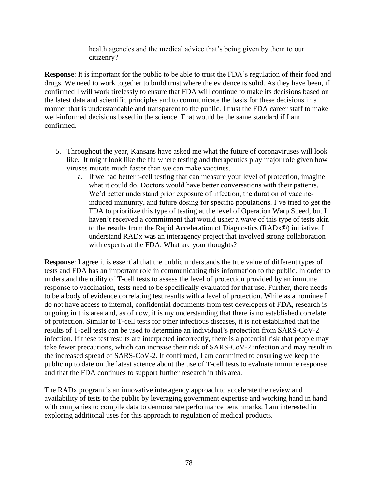health agencies and the medical advice that's being given by them to our citizenry?

**Response**: It is important for the public to be able to trust the FDA's regulation of their food and drugs. We need to work together to build trust where the evidence is solid. As they have been, if confirmed I will work tirelessly to ensure that FDA will continue to make its decisions based on the latest data and scientific principles and to communicate the basis for these decisions in a manner that is understandable and transparent to the public. I trust the FDA career staff to make well-informed decisions based in the science. That would be the same standard if I am confirmed.

- 5. Throughout the year, Kansans have asked me what the future of coronaviruses will look like. It might look like the flu where testing and therapeutics play major role given how viruses mutate much faster than we can make vaccines.
	- a. If we had better t-cell testing that can measure your level of protection, imagine what it could do. Doctors would have better conversations with their patients. We'd better understand prior exposure of infection, the duration of vaccineinduced immunity, and future dosing for specific populations. I've tried to get the FDA to prioritize this type of testing at the level of Operation Warp Speed, but I haven't received a commitment that would usher a wave of this type of tests akin to the results from the Rapid Acceleration of Diagnostics (RADx®) initiative. I understand RADx was an interagency project that involved strong collaboration with experts at the FDA. What are your thoughts?

**Response**: I agree it is essential that the public understands the true value of different types of tests and FDA has an important role in communicating this information to the public. In order to understand the utility of T-cell tests to assess the level of protection provided by an immune response to vaccination, tests need to be specifically evaluated for that use. Further, there needs to be a body of evidence correlating test results with a level of protection. While as a nominee I do not have access to internal, confidential documents from test developers of FDA, research is ongoing in this area and, as of now, it is my understanding that there is no established correlate of protection. Similar to T-cell tests for other infectious diseases, it is not established that the results of T-cell tests can be used to determine an individual's protection from SARS-CoV-2 infection. If these test results are interpreted incorrectly, there is a potential risk that people may take fewer precautions, which can increase their risk of SARS-CoV-2 infection and may result in the increased spread of SARS-CoV-2. If confirmed, I am committed to ensuring we keep the public up to date on the latest science about the use of T-cell tests to evaluate immune response and that the FDA continues to support further research in this area.

The RADx program is an innovative interagency approach to accelerate the review and availability of tests to the public by leveraging government expertise and working hand in hand with companies to compile data to demonstrate performance benchmarks. I am interested in exploring additional uses for this approach to regulation of medical products.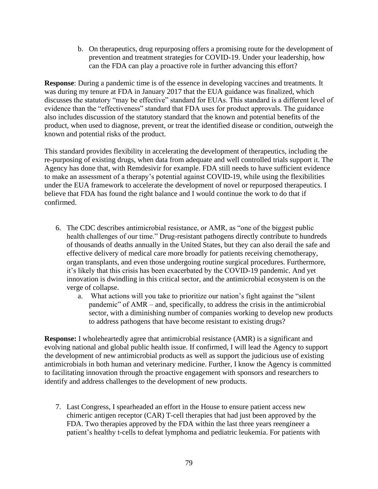b. On therapeutics, drug repurposing offers a promising route for the development of prevention and treatment strategies for COVID-19. Under your leadership, how can the FDA can play a proactive role in further advancing this effort?

**Response**: During a pandemic time is of the essence in developing vaccines and treatments. It was during my tenure at FDA in January 2017 that the EUA guidance was finalized, which discusses the statutory "may be effective" standard for EUAs. This standard is a different level of evidence than the "effectiveness" standard that FDA uses for product approvals. The guidance also includes discussion of the statutory standard that the known and potential benefits of the product, when used to diagnose, prevent, or treat the identified disease or condition, outweigh the known and potential risks of the product.

This standard provides flexibility in accelerating the development of therapeutics, including the re-purposing of existing drugs, when data from adequate and well controlled trials support it. The Agency has done that, with Remdesivir for example. FDA still needs to have sufficient evidence to make an assessment of a therapy's potential against COVID-19, while using the flexibilities under the EUA framework to accelerate the development of novel or repurposed therapeutics. I believe that FDA has found the right balance and I would continue the work to do that if confirmed.

- 6. The CDC describes antimicrobial resistance, or AMR, as "one of the biggest public health challenges of our time." Drug-resistant pathogens directly contribute to hundreds of thousands of deaths annually in the United States, but they can also derail the safe and effective delivery of medical care more broadly for patients receiving chemotherapy, organ transplants, and even those undergoing routine surgical procedures. Furthermore, it's likely that this crisis has been exacerbated by the COVID-19 pandemic. And yet innovation is dwindling in this critical sector, and the antimicrobial ecosystem is on the verge of collapse.
	- a. What actions will you take to prioritize our nation's fight against the "silent pandemic" of AMR – and, specifically, to address the crisis in the antimicrobial sector, with a diminishing number of companies working to develop new products to address pathogens that have become resistant to existing drugs?

**Response:** I wholeheartedly agree that antimicrobial resistance (AMR) is a significant and evolving national and global public health issue. If confirmed, I will lead the Agency to support the development of new antimicrobial products as well as support the judicious use of existing antimicrobials in both human and veterinary medicine. Further, I know the Agency is committed to facilitating innovation through the proactive engagement with sponsors and researchers to identify and address challenges to the development of new products.

7. Last Congress, I spearheaded an effort in the House to ensure patient access new chimeric antigen receptor (CAR) T-cell therapies that had just been approved by the FDA. Two therapies approved by the FDA within the last three years reengineer a patient's healthy t-cells to defeat lymphoma and pediatric leukemia. For patients with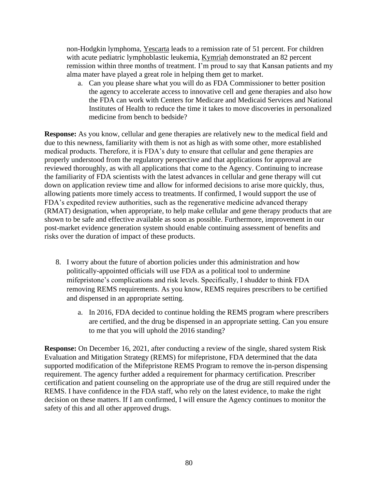non-Hodgkin lymphoma, [Yescarta](https://www.fda.gov/news-events/press-announcements/fda-approves-car-t-cell-therapy-treat-adults-certain-types-large-b-cell-lymphoma) leads to a remission rate of 51 percent. For children with acute pediatric lymphoblastic leukemia, [Kymriah](https://www.fda.gov/news-events/press-announcements/fda-approval-brings-first-gene-therapy-united-states) demonstrated an 82 percent remission within three months of treatment. I'm proud to say that Kansan patients and my alma mater have played a great role in helping them get to market.

a. Can you please share what you will do as FDA Commissioner to better position the agency to accelerate access to innovative cell and gene therapies and also how the FDA can work with Centers for Medicare and Medicaid Services and National Institutes of Health to reduce the time it takes to move discoveries in personalized medicine from bench to bedside?

**Response:** As you know, cellular and gene therapies are relatively new to the medical field and due to this newness, familiarity with them is not as high as with some other, more established medical products. Therefore, it is FDA's duty to ensure that cellular and gene therapies are properly understood from the regulatory perspective and that applications for approval are reviewed thoroughly, as with all applications that come to the Agency. Continuing to increase the familiarity of FDA scientists with the latest advances in cellular and gene therapy will cut down on application review time and allow for informed decisions to arise more quickly, thus, allowing patients more timely access to treatments. If confirmed, I would support the use of FDA's expedited review authorities, such as the regenerative medicine advanced therapy (RMAT) designation, when appropriate, to help make cellular and gene therapy products that are shown to be safe and effective available as soon as possible. Furthermore, improvement in our post-market evidence generation system should enable continuing assessment of benefits and risks over the duration of impact of these products.

- 8. I worry about the future of abortion policies under this administration and how politically-appointed officials will use FDA as a political tool to undermine mifepristone's complications and risk levels. Specifically, I shudder to think FDA removing REMS requirements. As you know, REMS requires prescribers to be certified and dispensed in an appropriate setting.
	- a. In 2016, FDA decided to continue holding the REMS program where prescribers are certified, and the drug be dispensed in an appropriate setting. Can you ensure to me that you will uphold the 2016 standing?

**Response:** On December 16, 2021, after conducting a review of the single, shared system Risk Evaluation and Mitigation Strategy (REMS) for mifepristone, FDA determined that the data supported modification of the Mifepristone REMS Program to remove the in-person dispensing requirement. The agency further added a requirement for pharmacy certification. Prescriber certification and patient counseling on the appropriate use of the drug are still required under the REMS. I have confidence in the FDA staff, who rely on the latest evidence, to make the right decision on these matters. If I am confirmed, I will ensure the Agency continues to monitor the safety of this and all other approved drugs.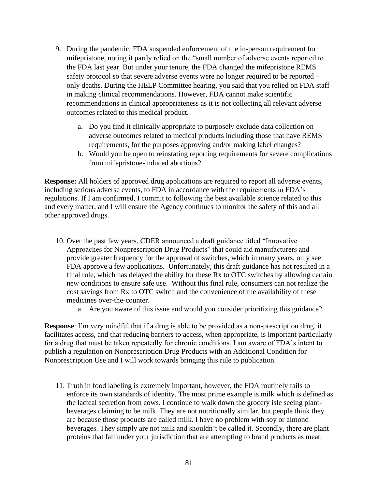- 9. During the pandemic, FDA suspended enforcement of the in-person requirement for mifepristone, noting it partly relied on the "small number of adverse events reported to the FDA last year. But under your tenure, the FDA changed the mifepristone REMS safety protocol so that severe adverse events were no longer required to be reported – only deaths. During the HELP Committee hearing, you said that you relied on FDA staff in making clinical recommendations. However, FDA cannot make scientific recommendations in clinical appropriateness as it is not collecting all relevant adverse outcomes related to this medical product.
	- a. Do you find it clinically appropriate to purposely exclude data collection on adverse outcomes related to medical products including those that have REMS requirements, for the purposes approving and/or making label changes?
	- b. Would you be open to reinstating reporting requirements for severe complications from mifepristone-induced abortions?

**Response:** All holders of approved drug applications are required to report all adverse events, including serious adverse events, to FDA in accordance with the requirements in FDA's regulations. If I am confirmed, I commit to following the best available science related to this and every matter, and I will ensure the Agency continues to monitor the safety of this and all other approved drugs.

- 10. Over the past few years, CDER announced a draft guidance titled "Innovative Approaches for Nonprescription Drug Products" that could aid manufacturers and provide greater frequency for the approval of switches, which in many years, only see FDA approve a few applications. Unfortunately, this draft guidance has not resulted in a final rule, which has delayed the ability for these Rx to OTC switches by allowing certain new conditions to ensure safe use. Without this final rule, consumers can not realize the cost savings from Rx to OTC switch and the convenience of the availability of these medicines over-the-counter.
	- a. Are you aware of this issue and would you consider prioritizing this guidance?

**Response**: I'm very mindful that if a drug is able to be provided as a non-prescription drug, it facilitates access, and that reducing barriers to access, when appropriate, is important particularly for a drug that must be taken repeatedly for chronic conditions. I am aware of FDA's intent to publish a regulation on Nonprescription Drug Products with an Additional Condition for Nonprescription Use and I will work towards bringing this rule to publication.

11. Truth in food labeling is extremely important, however, the FDA routinely fails to enforce its own standards of identity. The most prime example is milk which is defined as the lacteal secretion from cows. I continue to walk down the grocery isle seeing plantbeverages claiming to be milk. They are not nutritionally similar, but people think they are because those products are called milk. I have no problem with soy or almond beverages. They simply are not milk and shouldn't be called it. Secondly, there are plant proteins that fall under your jurisdiction that are attempting to brand products as meat.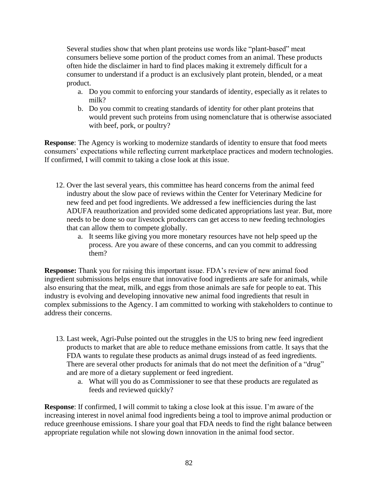Several studies show that when plant proteins use words like "plant-based" meat consumers believe some portion of the product comes from an animal. These products often hide the disclaimer in hard to find places making it extremely difficult for a consumer to understand if a product is an exclusively plant protein, blended, or a meat product.

- a. Do you commit to enforcing your standards of identity, especially as it relates to milk?
- b. Do you commit to creating standards of identity for other plant proteins that would prevent such proteins from using nomenclature that is otherwise associated with beef, pork, or poultry?

**Response:** The Agency is working to modernize standards of identity to ensure that food meets consumers' expectations while reflecting current marketplace practices and modern technologies. If confirmed, I will commit to taking a close look at this issue.

- 12. Over the last several years, this committee has heard concerns from the animal feed industry about the slow pace of reviews within the Center for Veterinary Medicine for new feed and pet food ingredients. We addressed a few inefficiencies during the last ADUFA reauthorization and provided some dedicated appropriations last year. But, more needs to be done so our livestock producers can get access to new feeding technologies that can allow them to compete globally.
	- a. It seems like giving you more monetary resources have not help speed up the process. Are you aware of these concerns, and can you commit to addressing them?

**Response:** Thank you for raising this important issue. FDA's review of new animal food ingredient submissions helps ensure that innovative food ingredients are safe for animals, while also ensuring that the meat, milk, and eggs from those animals are safe for people to eat. This industry is evolving and developing innovative new animal food ingredients that result in complex submissions to the Agency. I am committed to working with stakeholders to continue to address their concerns.

- 13. Last week, Agri-Pulse pointed out the struggles in the US to bring new feed ingredient products to market that are able to reduce methane emissions from cattle. It says that the FDA wants to regulate these products as animal drugs instead of as feed ingredients. There are several other products for animals that do not meet the definition of a "drug" and are more of a dietary supplement or feed ingredient.
	- a. What will you do as Commissioner to see that these products are regulated as feeds and reviewed quickly?

**Response**: If confirmed, I will commit to taking a close look at this issue. I'm aware of the increasing interest in novel animal food ingredients being a tool to improve animal production or reduce greenhouse emissions. I share your goal that FDA needs to find the right balance between appropriate regulation while not slowing down innovation in the animal food sector.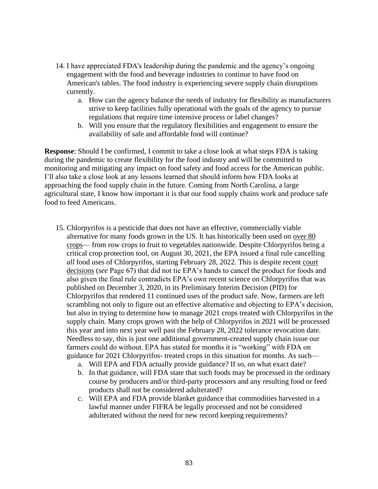- 14. I have appreciated FDA's leadership during the pandemic and the agency's ongoing engagement with the food and beverage industries to continue to have food on American's tables. The food industry is experiencing severe supply chain disruptions currently.
	- a. How can the agency balance the needs of industry for flexibility as manufacturers strive to keep facilities fully operational with the goals of the agency to pursue regulations that require time intensive process or label changes?
	- b. Will you ensure that the regulatory flexibilities and engagement to ensure the availability of safe and affordable food will continue?

**Response**: Should I be confirmed, I commit to take a close look at what steps FDA is taking during the pandemic to create flexibility for the food industry and will be committed to monitoring and mitigating any impact on food safety and food access for the American public. I'll also take a close look at any lessons learned that should inform how FDA looks at approaching the food supply chain in the future. Coming from North Carolina, a large agricultural state, I know how important it is that our food supply chains work and produce safe food to feed Americans.

- 15. Chlorpyrifos is a pesticide that does not have an effective, commercially viable alternative for many foods grown in the US. It has historically been used on over 80 [crops—](https://www.law.cornell.edu/cfr/text/40/180.342) from row crops to fruit to vegetables nationwide. Despite Chlorpyrifos being a critical crop protection tool, on August 30, 2021, the EPA issued a final rule cancelling *all* food uses of Chlorpyrifos, starting February 28, 2022. This is despite recent [court](https://cdn.ca9.uscourts.gov/datastore/opinions/2021/04/29/19-71979.pdf)  [decisions](https://cdn.ca9.uscourts.gov/datastore/opinions/2021/04/29/19-71979.pdf) (*see* Page 67) that did not tie EPA's hands to cancel the product for foods and also given the final rule contradicts EPA's own recent science on Chlorpyrifos that was published on December 3, 2020, in its Preliminary Interim Decision (PID) for Chlorpyrifos that rendered 11 continued uses of the product safe. Now, farmers are left scrambling not only to figure out an effective alternative and objecting to EPA's decision, but also in trying to determine how to manage 2021 crops treated with Chlorpyrifos in the supply chain. Many crops grown with the help of Chlorpyrifos in 2021 will be processed this year and into next year well past the February 28, 2022 tolerance revocation date. Needless to say, this is just one additional government-created supply chain issue our farmers could do without. EPA has stated for months it is "working" with FDA on guidance for 2021 Chlorpyrifos- treated crops in this situation for months. As such
	- a. Will EPA and FDA actually provide guidance? If so, on what exact date?
	- b. In that guidance, will FDA state that such foods may be processed in the ordinary course by producers and/or third-party processors and any resulting food or feed products shall not be considered adulterated?
	- c. Will EPA and FDA provide blanket guidance that commodities harvested in a lawful manner under FIFRA be legally processed and not be considered adulterated without the need for new record keeping requirements?